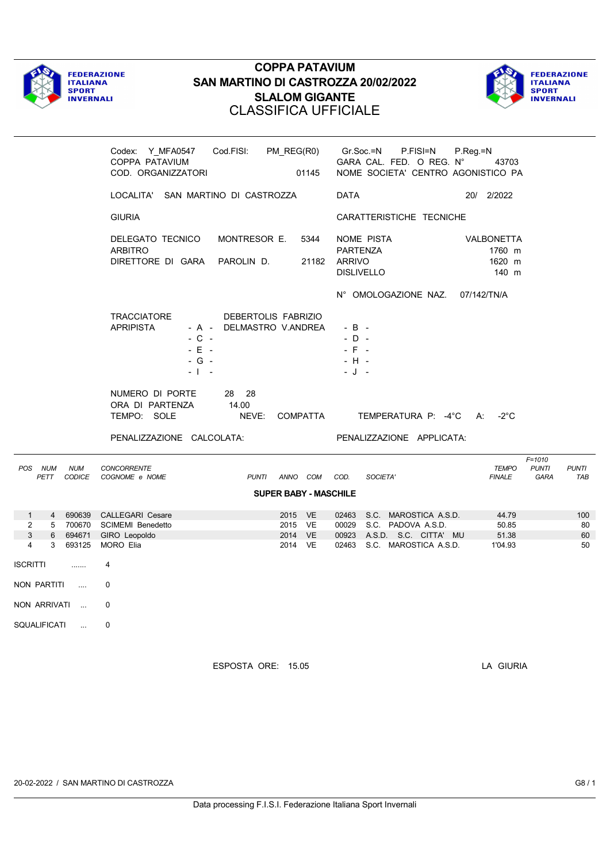



|                                                                                                                                                                                     | Codex: Y MFA0547<br>COPPA PATAVIUM<br>COD. ORGANIZZATORI                                                  | Cod.FISI: PM REG(R0)     | 01145                                              |                                                 | Gr.Soc.=N<br>P.FISI=N<br>GARA CAL. FED. O REG. N°<br>NOME SOCIETA' CENTRO AGONISTICO PA                               | $P_{\cdot}$ Reg $=$ N<br>43703          |                                    |                       |
|-------------------------------------------------------------------------------------------------------------------------------------------------------------------------------------|-----------------------------------------------------------------------------------------------------------|--------------------------|----------------------------------------------------|-------------------------------------------------|-----------------------------------------------------------------------------------------------------------------------|-----------------------------------------|------------------------------------|-----------------------|
|                                                                                                                                                                                     | LOCALITA' SAN MARTINO DI CASTROZZA                                                                        |                          |                                                    | <b>DATA</b>                                     |                                                                                                                       | 20/ 2/2022                              |                                    |                       |
|                                                                                                                                                                                     | <b>GIURIA</b>                                                                                             |                          |                                                    |                                                 | CARATTERISTICHE TECNICHE                                                                                              |                                         |                                    |                       |
|                                                                                                                                                                                     | DELEGATO TECNICO<br><b>ARBITRO</b><br>DIRETTORE DI GARA PAROLIN D.                                        | MONTRESOR E.             | 5344<br>21182                                      | PARTENZA<br><b>ARRIVO</b><br><b>DISLIVELLO</b>  | NOME PISTA                                                                                                            | VALBONETTA<br>1760 m<br>1620 m<br>140 m |                                    |                       |
|                                                                                                                                                                                     |                                                                                                           |                          |                                                    |                                                 | N° OMOLOGAZIONE NAZ.                                                                                                  | 07/142/TN/A                             |                                    |                       |
|                                                                                                                                                                                     | <b>TRACCIATORE</b><br><b>APRIPISTA</b><br>$-C -$<br>$-E -$<br>$-G -$<br>$-1 - -$                          | - A - DELMASTRO V.ANDREA | DEBERTOLIS FABRIZIO                                | $-B -$<br>$-D -$<br>$-$ F $-$<br>- H -<br>- J - |                                                                                                                       |                                         |                                    |                       |
|                                                                                                                                                                                     | NUMERO DI PORTE<br>ORA DI PARTENZA<br>TEMPO: SOLE                                                         | 28 28<br>14.00<br>NEVE:  | <b>COMPATTA</b>                                    |                                                 | TEMPERATURA P: -4°C                                                                                                   | $-2^{\circ}$ C<br>A:                    |                                    |                       |
|                                                                                                                                                                                     | PENALIZZAZIONE CALCOLATA:                                                                                 |                          |                                                    |                                                 | PENALIZZAZIONE APPLICATA:                                                                                             |                                         |                                    |                       |
| POS NUM<br><b>NUM</b><br>PETT                                                                                                                                                       | <b>CONCORRENTE</b><br>CODICE COGNOME e NOME                                                               |                          | PUNTI ANNO COM                                     | COD.                                            | SOCIETA'                                                                                                              | <b>TEMPO</b><br><b>FINALE</b>           | $F = 1010$<br><b>PUNTI</b><br>GARA | <b>PUNTI</b><br>TAB   |
|                                                                                                                                                                                     |                                                                                                           |                          | <b>SUPER BABY - MASCHILE</b>                       |                                                 |                                                                                                                       |                                         |                                    |                       |
| $\mathbf{1}$<br>2<br>3<br>694671<br>$6\overline{6}$<br>3 <sup>1</sup><br>693125<br>4<br>ISCRITTI<br>.<br>NON PARTITI<br>$\sim$ $\sim$<br>NON ARRIVATI<br>SQUALIFICATI<br>$\sim 100$ | 4 690639 CALLEGARI Cesare<br>5 700670 SCIMEMI Benedetto<br>GIRO Leopoldo<br>MORO Elia<br>4<br>0<br>0<br>0 |                          | 2015 VE<br>2015 VE<br><b>VE</b><br>2014<br>2014 VE |                                                 | 02463 S.C. MAROSTICA A.S.D.<br>00029 S.C. PADOVA A.S.D.<br>00923 A.S.D. S.C. CITTA' MU<br>02463 S.C. MAROSTICA A.S.D. | 44.79<br>50.85<br>51.38<br>1'04.93      |                                    | 100<br>80<br>60<br>50 |
|                                                                                                                                                                                     |                                                                                                           | ESPOSTA ORE: 15.05       |                                                    |                                                 |                                                                                                                       | LA GIURIA                               |                                    |                       |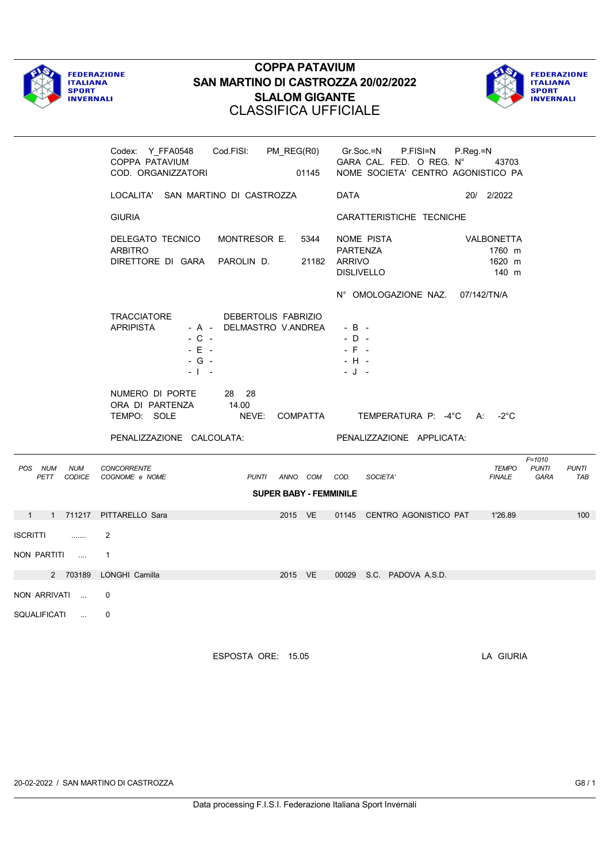



|                                                | Codex: Y_FFA0548<br>COPPA PATAVIUM<br>COD. ORGANIZZATORI<br>01145                                                              | Cod.FISI: PM_REG(R0) Gr.Soc.=N P.FISI=N P.Reg.=N<br>GARA CAL. FED. O REG. N°<br>43703<br>NOME SOCIETA' CENTRO AGONISTICO PA |
|------------------------------------------------|--------------------------------------------------------------------------------------------------------------------------------|-----------------------------------------------------------------------------------------------------------------------------|
|                                                | LOCALITA' SAN MARTINO DI CASTROZZA                                                                                             | DATA<br>20/ 2/2022                                                                                                          |
|                                                | <b>GIURIA</b>                                                                                                                  | CARATTERISTICHE TECNICHE                                                                                                    |
|                                                | DELEGATO TECNICO<br>MONTRESOR E.<br>5344<br><b>ARBITRO</b><br>DIRETTORE DI GARA PAROLIN D.                                     | NOME PISTA<br>VALBONETTA<br>PARTENZA<br>1760 m<br>21182 ARRIVO<br>1620 m<br><b>DISLIVELLO</b><br>140 m                      |
|                                                | TRACCIATORE<br>DEBERTOLIS FABRIZIO<br><b>APRIPISTA</b><br>- A - DELMASTRO V.ANDREA<br>$-C -$<br>$-E$ $+$<br>$-G -$<br>$-1 - -$ | N° OMOLOGAZIONE NAZ. 07/142/TN/A<br>$-B -$<br>$-D -$<br>$-$ F $-$<br>$- H -$<br>$-J -$                                      |
|                                                | NUMERO DI PORTE<br>28 28<br>14.00<br>ORA DI PARTENZA<br>TEMPO: SOLE<br>NEVE: COMPATTA<br>PENALIZZAZIONE CALCOLATA:             | TEMPERATURA P: -4°C A: -2°C<br>PENALIZZAZIONE APPLICATA:                                                                    |
| POS NUM<br><b>NUM</b><br>PETT                  | <b>CONCORRENTE</b><br>CODICE COGNOME e NOME<br>PUNTI ANNO COM<br><b>SUPER BABY - FEMMINILE</b>                                 | $F = 1010$<br><b>TEMPO</b><br><b>PUNTI</b><br><b>PUNTI</b><br>COD.<br>SOCIETA'<br><b>FINALE</b><br>GARA<br>TAB              |
| 1 1 711217 PITTARELLO Sara                     |                                                                                                                                | 2015 VE  01145 CENTRO AGONISTICO PAT  1'26.89<br>100                                                                        |
| ISCRITTI<br>$\sim$ $\sim$ $\sim$ $\sim$ $\sim$ | 2                                                                                                                              |                                                                                                                             |
| NON PARTITI                                    | $\overline{1}$                                                                                                                 |                                                                                                                             |
|                                                | 2 703189 LONGHI Camilla<br>2015 VE                                                                                             | 00029 S.C. PADOVA A.S.D.                                                                                                    |
| NON ARRIVATI                                   | $\Omega$                                                                                                                       |                                                                                                                             |
| SQUALIFICATI                                   | 0                                                                                                                              |                                                                                                                             |
|                                                | ESPOSTA ORE: 15.05                                                                                                             | LA GIURIA                                                                                                                   |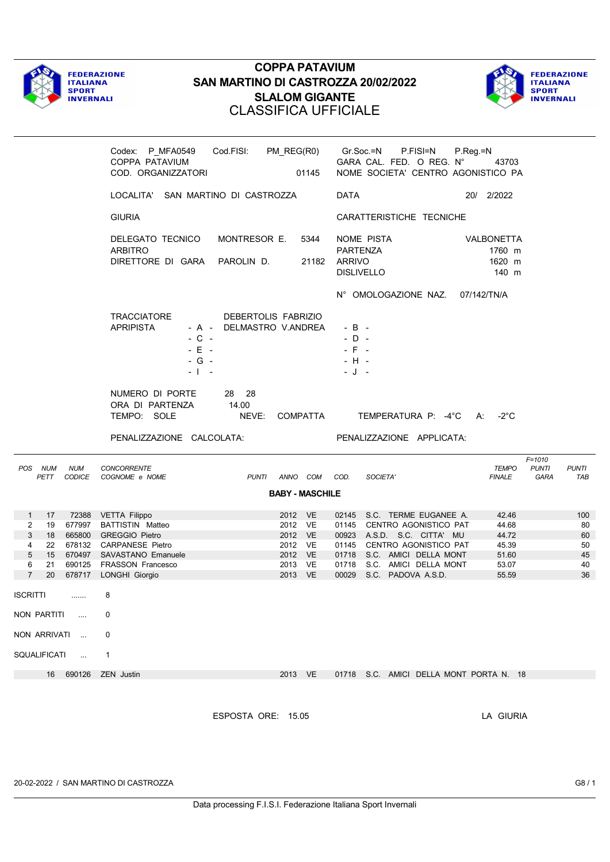



|                                                                                                   | Cod.FISI:<br>Codex: P_MFA0549<br>COPPA PATAVIUM<br>COD. ORGANIZZATORI                                                                                                                | PM_REG(R0)<br>01145                                                       | Gr.Soc.=N<br>P.FISI=N<br>GARA CAL. FED. O REG. N°<br>NOME SOCIETA' CENTRO AGONISTICO PA                                                                                                                            | P.Reg.=N<br>43703                                            |                                         |
|---------------------------------------------------------------------------------------------------|--------------------------------------------------------------------------------------------------------------------------------------------------------------------------------------|---------------------------------------------------------------------------|--------------------------------------------------------------------------------------------------------------------------------------------------------------------------------------------------------------------|--------------------------------------------------------------|-----------------------------------------|
|                                                                                                   | LOCALITA' SAN MARTINO DI CASTROZZA                                                                                                                                                   |                                                                           | <b>DATA</b>                                                                                                                                                                                                        | 20/ 2/2022                                                   |                                         |
|                                                                                                   | <b>GIURIA</b>                                                                                                                                                                        |                                                                           | CARATTERISTICHE TECNICHE                                                                                                                                                                                           |                                                              |                                         |
|                                                                                                   | DELEGATO TECNICO<br>MONTRESOR E.<br><b>ARBITRO</b><br>DIRETTORE DI GARA PAROLIN D.                                                                                                   | 5344<br>21182                                                             | NOME PISTA<br>PARTENZA<br><b>ARRIVO</b><br><b>DISLIVELLO</b>                                                                                                                                                       | VALBONETTA<br>1760 m<br>1620 m<br>140 m                      |                                         |
|                                                                                                   |                                                                                                                                                                                      |                                                                           | N° OMOLOGAZIONE NAZ. 07/142/TN/A                                                                                                                                                                                   |                                                              |                                         |
|                                                                                                   | TRACCIATORE<br>DEBERTOLIS FABRIZIO<br><b>APRIPISTA</b><br>- A - DELMASTRO V.ANDREA<br>$-C -$<br>$-E$ $-$<br>$-G -$<br>$-1 - -$                                                       |                                                                           | - B -<br>$-D -$<br>$-$ F $-$<br>- H -<br>- J -                                                                                                                                                                     |                                                              |                                         |
|                                                                                                   | NUMERO DI PORTE<br>28 28<br>14.00<br>ORA DI PARTENZA<br>TEMPO: SOLE<br>NEVE:                                                                                                         | COMPATTA                                                                  | TEMPERATURA P: -4°C A:                                                                                                                                                                                             | -2°C                                                         |                                         |
|                                                                                                   |                                                                                                                                                                                      |                                                                           |                                                                                                                                                                                                                    |                                                              |                                         |
|                                                                                                   | PENALIZZAZIONE CALCOLATA:                                                                                                                                                            |                                                                           | PENALIZZAZIONE APPLICATA:                                                                                                                                                                                          |                                                              |                                         |
| POS NUM<br><b>NUM</b><br>PETT<br>CODICE                                                           | CONCORRENTE<br>COGNOME e NOME                                                                                                                                                        | PUNTI ANNO COM COD.                                                       | SOCIETA'                                                                                                                                                                                                           | $F = 1010$<br>TEMPO<br><b>PUNTI</b><br><b>FINALE</b><br>GARA | <b>PUNTI</b><br>TAB                     |
|                                                                                                   |                                                                                                                                                                                      | <b>BABY - MASCHILE</b>                                                    |                                                                                                                                                                                                                    |                                                              |                                         |
| $\mathbf{1}$<br>17<br>2<br>19<br>3<br>18<br>4<br>22<br>5<br>15<br>6<br>21<br>$\overline{7}$<br>20 | 72388 VETTA Filippo<br>677997 BATTISTIN Matteo<br>665800 GREGGIO Pietro<br>678132 CARPANESE Pietro<br>670497 SAVASTANO Emanuele<br>690125 FRASSON Francesco<br>678717 LONGHI Giorgio | 2012 VE<br>2012 VE<br>2012 VE<br>2012 VE<br>2012 VE<br>2013 VE<br>2013 VE | 02145 S.C. TERME EUGANEE A.<br>01145 CENTRO AGONISTICO PAT<br>00923 A.S.D. S.C. CITTA' MU<br>01145 CENTRO AGONISTICO PAT<br>01718 S.C. AMICI DELLA MONT<br>01718 S.C. AMICI DELLA MONT<br>00029 S.C. PADOVA A.S.D. | 42.46<br>44.68<br>44.72<br>45.39<br>51.60<br>53.07<br>55.59  | 100<br>80<br>60<br>50<br>45<br>40<br>36 |
| <b>ISCRITTI</b>                                                                                   | 8                                                                                                                                                                                    |                                                                           |                                                                                                                                                                                                                    |                                                              |                                         |
| $\cdots$                                                                                          | 0                                                                                                                                                                                    |                                                                           |                                                                                                                                                                                                                    |                                                              |                                         |
| NON PARTITI<br>NON ARRIVATI                                                                       | 0                                                                                                                                                                                    |                                                                           |                                                                                                                                                                                                                    |                                                              |                                         |
| SQUALIFICATI<br>$\sim$ $\sim$                                                                     | 1                                                                                                                                                                                    |                                                                           |                                                                                                                                                                                                                    |                                                              |                                         |
| 690126<br>16                                                                                      | <b>ZEN</b> Justin                                                                                                                                                                    | 2013 VE                                                                   | 01718 S.C. AMICI DELLA MONT PORTA N. 18                                                                                                                                                                            |                                                              |                                         |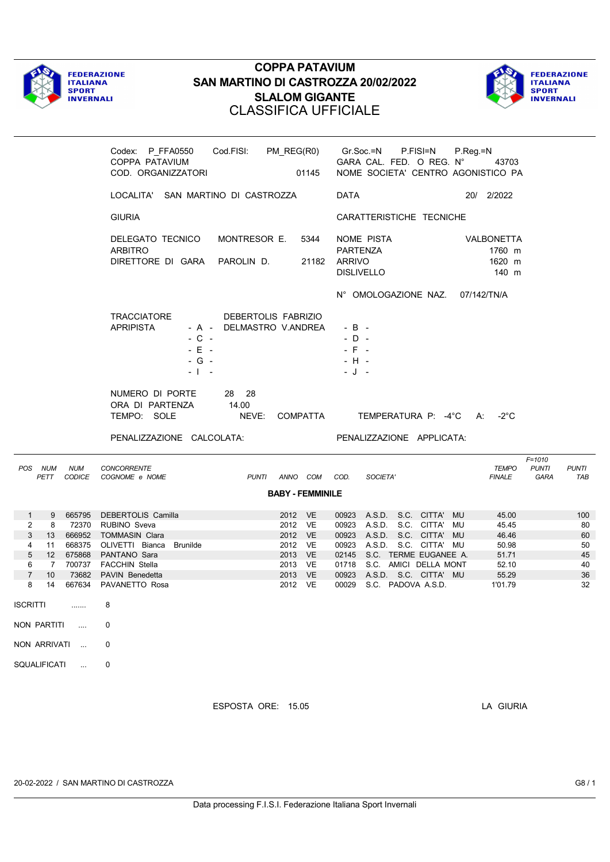



|                                                                                                                                                                                                  | Codex: P_FFA0550    Cod.FISI: PM_REG(R0)    Gr.Soc.=N    P.FISI=N<br>COPPA PATAVIUM<br>COD. ORGANIZZATORI                                                                                                               | 01145                                                                                | GARA CAL. FED. O REG. N°<br>NOME SOCIETA' CENTRO AGONISTICO PA                                                                                                                                                                                    | P.Reg.=N<br>43703              |                                                                                                              |
|--------------------------------------------------------------------------------------------------------------------------------------------------------------------------------------------------|-------------------------------------------------------------------------------------------------------------------------------------------------------------------------------------------------------------------------|--------------------------------------------------------------------------------------|---------------------------------------------------------------------------------------------------------------------------------------------------------------------------------------------------------------------------------------------------|--------------------------------|--------------------------------------------------------------------------------------------------------------|
|                                                                                                                                                                                                  | LOCALITA' SAN MARTINO DI CASTROZZA                                                                                                                                                                                      |                                                                                      | DATA                                                                                                                                                                                                                                              | 20/ 2/2022                     |                                                                                                              |
|                                                                                                                                                                                                  | <b>GIURIA</b>                                                                                                                                                                                                           |                                                                                      | CARATTERISTICHE TECNICHE                                                                                                                                                                                                                          |                                |                                                                                                              |
|                                                                                                                                                                                                  | DELEGATO TECNICO<br>MONTRESOR E.<br><b>ARBITRO</b><br>DIRETTORE DI GARA PAROLIN D.                                                                                                                                      | 5344<br>21182                                                                        | NOME PISTA<br>PARTENZA<br>ARRIVO<br><b>DISLIVELLO</b>                                                                                                                                                                                             | VALBONETTA<br>1760 m<br>1620 m | 140 m                                                                                                        |
|                                                                                                                                                                                                  | TRACCIATORE<br>DEBERTOLIS FABRIZIO<br><b>APRIPISTA</b><br>- A - DELMASTRO V.ANDREA<br>$-C -$<br>$-E$ $-$<br>$-G -$<br>- 1<br>$\sim$                                                                                     |                                                                                      | N° OMOLOGAZIONE NAZ.<br>$-B -$<br>$-D -$<br>$-$ F $-$<br>- H -<br>- J -                                                                                                                                                                           | 07/142/TN/A                    |                                                                                                              |
|                                                                                                                                                                                                  | NUMERO DI PORTE<br>28 28<br>14.00<br>ORA DI PARTENZA<br>TEMPO: SOLE<br>NEVE:<br>PENALIZZAZIONE CALCOLATA:                                                                                                               |                                                                                      | COMPATTA TEMPERATURA P: -4°C A: -2°C<br>PENALIZZAZIONE APPLICATA:                                                                                                                                                                                 |                                |                                                                                                              |
| POS NUM<br><b>NUM</b><br>PETT                                                                                                                                                                    | <b>CONCORRENTE</b><br>CODICE COGNOME e NOME                                                                                                                                                                             | PUNTI ANNO COM COD.                                                                  | SOCIETA'                                                                                                                                                                                                                                          | <b>FINALE</b>                  | $F = 1010$<br><b>TEMPO</b><br><b>PUNTI</b><br><b>PUNTI</b><br>GARA<br>TAB                                    |
|                                                                                                                                                                                                  |                                                                                                                                                                                                                         | <b>BABY - FEMMINILE</b>                                                              |                                                                                                                                                                                                                                                   |                                |                                                                                                              |
| $\mathbf{1}$<br>9<br>$\overline{2}$<br>8<br>3<br>13<br>4<br>11<br>5<br>12<br>6<br>$7^{\circ}$<br>$\overline{7}$<br>10 <sup>°</sup><br>8<br>14<br><b>ISCRITTI</b><br>.<br>NON PARTITI<br>$\cdots$ | 665795 DEBERTOLIS Camilla<br>72370 RUBINO Sveva<br>666952 TOMMASIN Clara<br>668375 OLIVETTI Bianca Brunilde<br>675868 PANTANO Sara<br>700737 FACCHIN Stella<br>73682 PAVIN Benedetta<br>667634 PAVANETTO Rosa<br>8<br>0 | 2012 VE<br>2012 VE<br>2012 VE<br>2012 VE<br>2013 VE<br>2013 VE<br>2013 VE<br>2012 VE | 00923 A.S.D. S.C. CITTA' MU<br>00923 A.S.D. S.C. CITTA' MU<br>00923 A.S.D. S.C. CITTA' MU<br>00923 A.S.D. S.C. CITTA' MU<br>02145 S.C. TERME EUGANEE A.<br>01718 S.C. AMICI DELLA MONT<br>00923 A.S.D. S.C. CITTA' MU<br>00029 S.C. PADOVA A.S.D. | 1'01.79                        | 45.00<br>100<br>45.45<br>80<br>46.46<br>60<br>50.98<br>50<br>45<br>51.71<br>52.10<br>40<br>55.29<br>36<br>32 |
| NON ARRIVATI<br>$\ddotsc$                                                                                                                                                                        | 0                                                                                                                                                                                                                       |                                                                                      |                                                                                                                                                                                                                                                   |                                |                                                                                                              |
| SQUALIFICATI<br>$\sim$                                                                                                                                                                           | 0                                                                                                                                                                                                                       |                                                                                      |                                                                                                                                                                                                                                                   |                                |                                                                                                              |

ESPOSTA ORE: 15.05 LA GIURIA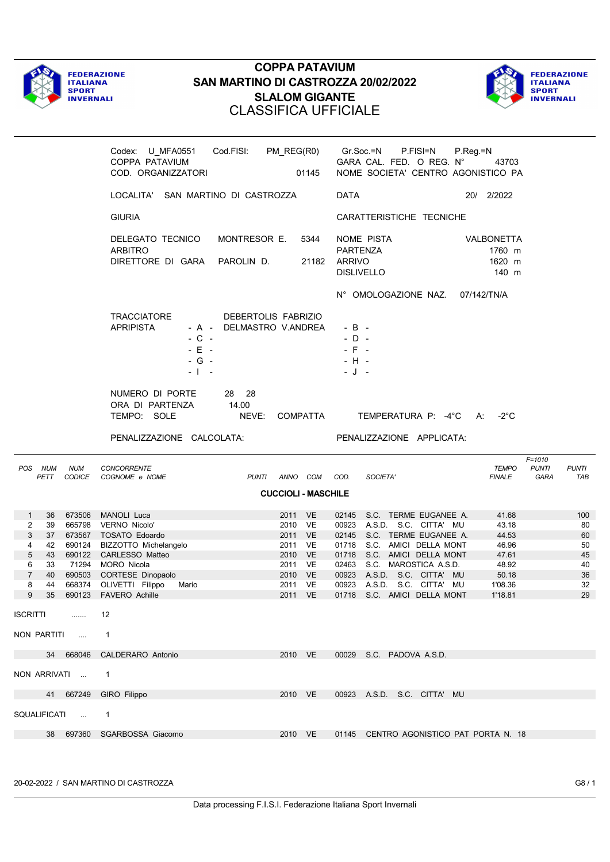



|                                                                                                                                       | Codex: U_MFA0551 Cod.FISI: PM_REG(R0)<br>COPPA PATAVIUM<br>COD. ORGANIZZATORI                                                                                                                                                                        | 01145                                                                                               | Gr.Soc.=N<br>P.FISI=N<br>GARA CAL. FED. O REG. N°<br>NOME SOCIETA' CENTRO AGONISTICO PA                                                                                                                                                                                                      | P.Reg.=N<br>43703                                                                 |                                                     |
|---------------------------------------------------------------------------------------------------------------------------------------|------------------------------------------------------------------------------------------------------------------------------------------------------------------------------------------------------------------------------------------------------|-----------------------------------------------------------------------------------------------------|----------------------------------------------------------------------------------------------------------------------------------------------------------------------------------------------------------------------------------------------------------------------------------------------|-----------------------------------------------------------------------------------|-----------------------------------------------------|
|                                                                                                                                       | LOCALITA' SAN MARTINO DI CASTROZZA                                                                                                                                                                                                                   |                                                                                                     | DATA                                                                                                                                                                                                                                                                                         | 20/ 2/2022                                                                        |                                                     |
|                                                                                                                                       | <b>GIURIA</b>                                                                                                                                                                                                                                        |                                                                                                     | CARATTERISTICHE TECNICHE                                                                                                                                                                                                                                                                     |                                                                                   |                                                     |
|                                                                                                                                       | DELEGATO TECNICO<br>MONTRESOR E.<br><b>ARBITRO</b><br>DIRETTORE DI GARA<br>PAROLIN D.                                                                                                                                                                | 5344<br>21182                                                                                       | NOME PISTA<br>PARTENZA<br>ARRIVO<br><b>DISLIVELLO</b>                                                                                                                                                                                                                                        | <b>VALBONETTA</b><br>1760 m<br>1620 m<br>140 m                                    |                                                     |
|                                                                                                                                       |                                                                                                                                                                                                                                                      |                                                                                                     | N° OMOLOGAZIONE NAZ.                                                                                                                                                                                                                                                                         | 07/142/TN/A                                                                       |                                                     |
|                                                                                                                                       | TRACCIATORE<br>DEBERTOLIS FABRIZIO<br><b>APRIPISTA</b><br>- A - DELMASTRO V.ANDREA<br>$-C -$<br>$-E -$<br>$-G -$<br>- 1<br>$\sim$                                                                                                                    |                                                                                                     | $-B -$<br>$-D -$<br>$-F$<br>$\sim$<br>$-H -$<br>- J<br>$\sim$                                                                                                                                                                                                                                |                                                                                   |                                                     |
|                                                                                                                                       | NUMERO DI PORTE<br>28 28<br>ORA DI PARTENZA<br>14.00<br>TEMPO: SOLE<br>NEVE:                                                                                                                                                                         | COMPATTA                                                                                            | TEMPERATURA P: -4°C A:                                                                                                                                                                                                                                                                       | -2°C                                                                              |                                                     |
|                                                                                                                                       |                                                                                                                                                                                                                                                      |                                                                                                     |                                                                                                                                                                                                                                                                                              |                                                                                   |                                                     |
|                                                                                                                                       | PENALIZZAZIONE CALCOLATA:                                                                                                                                                                                                                            |                                                                                                     | PENALIZZAZIONE APPLICATA:                                                                                                                                                                                                                                                                    |                                                                                   |                                                     |
| POS NUM<br><b>NUM</b><br>PETT                                                                                                         | <b>CONCORRENTE</b><br>CODICE COGNOME e NOME<br>PUNTI ANNO COM COD.                                                                                                                                                                                   |                                                                                                     | SOCIETA'                                                                                                                                                                                                                                                                                     | $F = 1010$<br><b>TEMPO</b><br><b>PUNTI</b><br><b>FINALE</b><br>GARA               | <b>PUNTI</b><br>TAB                                 |
|                                                                                                                                       |                                                                                                                                                                                                                                                      | <b>CUCCIOLI - MASCHILE</b>                                                                          |                                                                                                                                                                                                                                                                                              |                                                                                   |                                                     |
| 673506<br>$\mathbf{1}$<br>36<br>2<br>39<br>3<br>37<br>4<br>42<br>5<br>43<br>6<br>33<br>$\overline{7}$<br>40<br>8<br>44<br>9<br>$35\,$ | MANOLI Luca<br>665798 VERNO Nicolo'<br>673567 TOSATO Edoardo<br>690124 BIZZOTTO Michelangelo<br>690122 CARLESSO Matteo<br>71294 MORO Nicola<br>690503 CORTESE Dinopaolo<br>668374 OLIVETTI Filippo<br>2011<br>Mario<br>690123 FAVERO Achille<br>2011 | 2011 VE<br>2010 VE<br>2011 VE<br>2011 VE<br><b>VE</b><br>2010<br>2011<br>VE<br>2010 VE<br>VE.<br>VE | 02145<br>S.C. TERME EUGANEE A.<br>A.S.D. S.C. CITTA' MU<br>00923<br>02145 S.C. TERME EUGANEE A.<br>01718 S.C. AMICI DELLA MONT<br>01718 S.C. AMICI DELLA MONT<br>S.C. MAROSTICA A.S.D.<br>02463<br>00923 A.S.D. S.C. CITTA' MU<br>00923 A.S.D. S.C. CITTA' MU<br>01718 S.C. AMICI DELLA MONT | 41.68<br>43.18<br>44.53<br>46.96<br>47.61<br>48.92<br>50.18<br>1'08.36<br>1'18.81 | 100<br>80<br>60<br>50<br>45<br>40<br>36<br>32<br>29 |
| ISCRITTI                                                                                                                              | $12 \overline{ }$                                                                                                                                                                                                                                    |                                                                                                     |                                                                                                                                                                                                                                                                                              |                                                                                   |                                                     |
| NON PARTITI                                                                                                                           | $\mathbf{1}$                                                                                                                                                                                                                                         |                                                                                                     |                                                                                                                                                                                                                                                                                              |                                                                                   |                                                     |
| 34 668046                                                                                                                             | <b>CALDERARO Antonio</b>                                                                                                                                                                                                                             | 2010 VE                                                                                             | 00029 S.C. PADOVA A.S.D.                                                                                                                                                                                                                                                                     |                                                                                   |                                                     |
| NON ARRIVATI                                                                                                                          | $\mathbf{1}$                                                                                                                                                                                                                                         |                                                                                                     |                                                                                                                                                                                                                                                                                              |                                                                                   |                                                     |
| 41 667249                                                                                                                             | GIRO Filippo                                                                                                                                                                                                                                         | 2010 VE                                                                                             | 00923 A.S.D. S.C. CITTA' MU                                                                                                                                                                                                                                                                  |                                                                                   |                                                     |
| SQUALIFICATI                                                                                                                          | $\mathbf{1}$                                                                                                                                                                                                                                         |                                                                                                     |                                                                                                                                                                                                                                                                                              |                                                                                   |                                                     |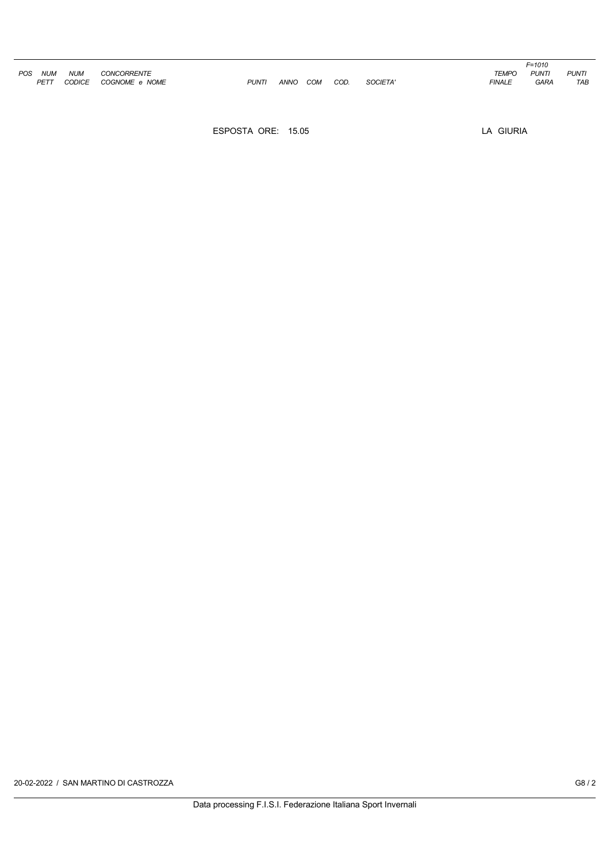|     |            |            |                    |              |          |      |          |               | $F = 1010$   |              |
|-----|------------|------------|--------------------|--------------|----------|------|----------|---------------|--------------|--------------|
| POS | <b>NUM</b> | <b>NUM</b> | <b>CONCORRENTE</b> |              |          |      |          | <b>TEMPO</b>  | <b>PUNTI</b> | <b>PUNTI</b> |
|     | PETT       | CODICE     | COGNOME e NOME     | <b>PUNTI</b> | ANNO COM | COD. | SOCIETA' | <b>FINALE</b> | <b>GARA</b>  | TAB          |

ESPOSTA ORE: 15.05 LA GIURIA